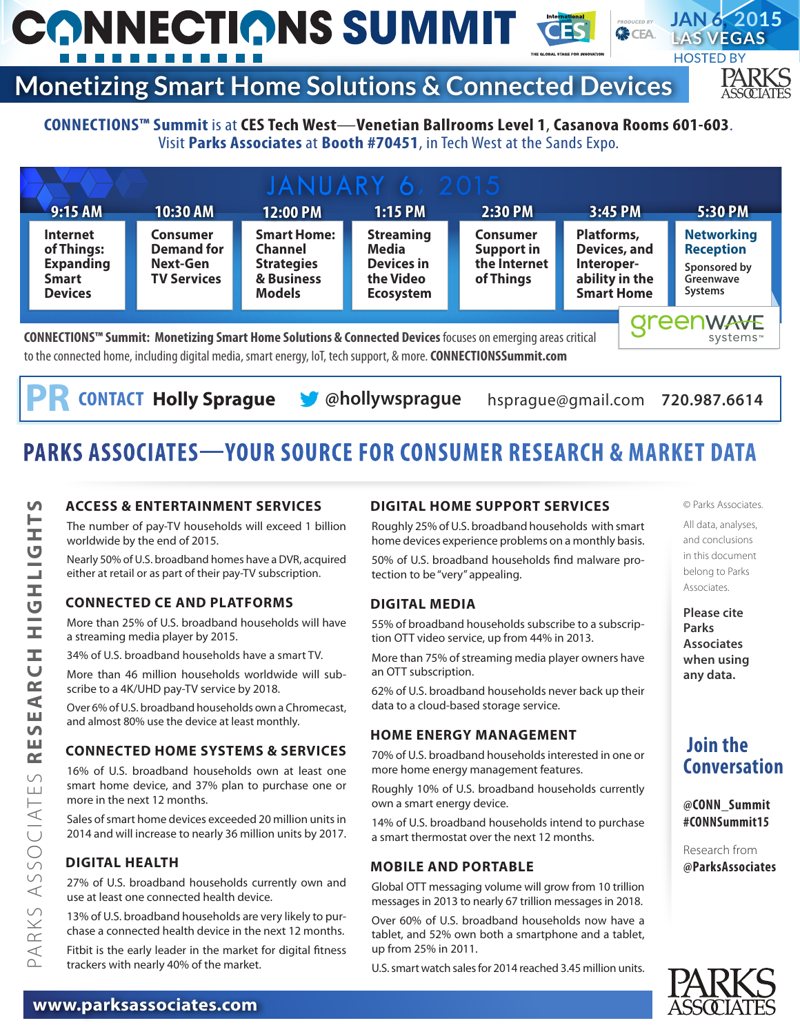#### **JAN 6, 2015 CONNECTIONS SUMMIT 《CEA LAS VEGAS HOSTED BY Monetizing Smart Home Solutions & Connected Devices**

# PARKS

#### **CONNECTIONS™ Summit** is at**CES Tech West**—**Venetian Ballrooms Level 1**, **Casanova Rooms 601-603**. Visit **Parks Associates** at **Booth #70451**, in Tech West at the Sands Expo.

| <b>JANUARY 6, 2015</b>                                                                                                                                                                                                        |                                                                        |                                                                                          |                                                                                 |                                                                   |                                                                                 |  |                                                                                      |
|-------------------------------------------------------------------------------------------------------------------------------------------------------------------------------------------------------------------------------|------------------------------------------------------------------------|------------------------------------------------------------------------------------------|---------------------------------------------------------------------------------|-------------------------------------------------------------------|---------------------------------------------------------------------------------|--|--------------------------------------------------------------------------------------|
| $9:15$ AM                                                                                                                                                                                                                     | 10:30 AM                                                               | 12:00 PM                                                                                 | $1:15$ PM                                                                       | 2:30 PM                                                           | 3:45 PM                                                                         |  | 5:30 PM                                                                              |
| <b>Internet</b><br>of Things:<br><b>Expanding</b><br><b>Smart</b><br><b>Devices</b>                                                                                                                                           | <b>Consumer</b><br><b>Demand for</b><br>Next-Gen<br><b>TV Services</b> | <b>Smart Home:</b><br><b>Channel</b><br><b>Strategies</b><br>& Business<br><b>Models</b> | <b>Streaming</b><br>Media<br><b>Devices in</b><br>the Video<br><b>Ecosystem</b> | <b>Consumer</b><br><b>Support in</b><br>the Internet<br>of Things | Platforms,<br>Devices, and<br>Interoper-<br>ability in the<br><b>Smart Home</b> |  | <b>Networking</b><br><b>Reception</b><br>Sponsored by<br>Greenwave<br><b>Systems</b> |
| CONNECTIONS™ Summit: Monetizing Smart Home Solutions & Connected Devices focuses on emerging areas critical<br>to the connected home, including digital media, smart energy, IoT, tech support, & more. CONNECTIONSSummit.com |                                                                        |                                                                                          |                                                                                 |                                                                   |                                                                                 |  | <b>Qreenwave</b><br>systems™                                                         |

**CONTACT Holly Sprague S** @hollywsprague hsprague@gmail.com 720.987.6614

## **PARKS ASSOCIATES**—**YOUR SOURCE FOR CONSUMER RESEARCH & MARKET DATA**

#### **ACCESS & ENTERTAINMENT SERVICES**

The number of pay-TV households will exceed 1 billion worldwide by the end of 2015.

Nearly 50% of U.S. broadband homes have a DVR, acquired either at retail or as part of their pay-TV subscription.

#### **CONNECTED CE AND PLATFORMS**

More than 25% of U.S. broadband households will have a streaming media player by 2015.

34% of U.S. broadband households have a smart TV.

More than 46 million households worldwide will subscribe to a 4K/UHD pay-TV service by 2018.

Over 6% of U.S. broadband households own a Chromecast, and almost 80% use the device at least monthly.

#### **CONNECTED HOME SYSTEMS & SERVICES**

16% of U.S. broadband households own at least one smart home device, and 37% plan to purchase one or more in the next 12 months.

Sales of smart home devices exceeded 20 million units in 2014 and will increase to nearly 36 million units by 2017.

#### **DIGITAL HEALTH**

PARKS ASSOCIATES **RESEARCH HIGHLIGHTS**

PARKS ASSOCIATES RESEARCH HIGHLIGHT

5

27% of U.S. broadband households currently own and use at least one connected health device.

13% of U.S. broadband households are very likely to purchase a connected health device in the next 12 months.

Fitbit is the early leader in the market for digital fitness trackers with nearly 40% of the market.

#### **DIGITAL HOME SUPPORT SERVICES**

Roughly 25% of U.S. broadband households with smart home devices experience problems on a monthly basis.

50% of U.S. broadband households find malware protection to be "very" appealing.

#### **DIGITAL MEDIA**

55% of broadband households subscribe to a subscription OTT video service, up from 44% in 2013.

More than 75% of streaming media player owners have an OTT subscription.

62% of U.S. broadband households never back up their data to a cloud-based storage service.

#### **HOME ENERGY MANAGEMENT**

70% of U.S. broadband households interested in one or more home energy management features.

Roughly 10% of U.S. broadband households currently own a smart energy device.

14% of U.S. broadband households intend to purchase a smart thermostat over the next 12 months.

#### **MOBILE AND PORTABLE**

Global OTT messaging volume will grow from 10 trillion messages in 2013 to nearly 67 trillion messages in 2018.

Over 60% of U.S. broadband households now have a tablet, and 52% own both a smartphone and a tablet, up from 25% in 2011.

U.S. smart watch sales for 2014 reached 3.45 million units.

© Parks Associates.

- All data, analyses, and conclusions in this document belong to Parks Associates.
- **Please cite Parks Associates when using any data.**

### **Join the Conversation**

**@CONN\_Summit #CONNSummit15**

Research from **@ParksAssociates**